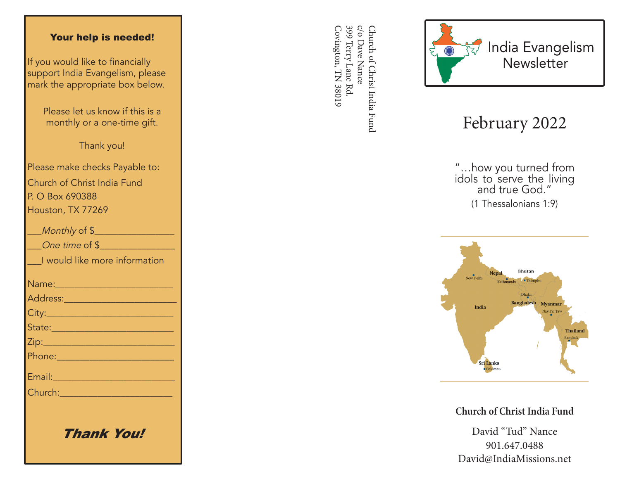## Your help is needed!

If you would like to financially support India Evangelism, please mark the appropriate box below.

> Please let us know if this is a monthly or a one-time gift.

> > Thank you!

Please make checks Payable to: Church of Christ India Fund P. O Box 690388 Houston, TX 77269

| Monthly of \$                                                                                                                                                                                                                        |
|--------------------------------------------------------------------------------------------------------------------------------------------------------------------------------------------------------------------------------------|
| One time of \$                                                                                                                                                                                                                       |
| I would like more information                                                                                                                                                                                                        |
|                                                                                                                                                                                                                                      |
| <u>Address: _________________________</u>                                                                                                                                                                                            |
|                                                                                                                                                                                                                                      |
| State: 2008 - 2008 - 2010 - 2010 - 2011 - 2012 - 2012 - 2012 - 2014 - 2012 - 2014 - 2014 - 2014 - 2014 - 2014                                                                                                                        |
|                                                                                                                                                                                                                                      |
|                                                                                                                                                                                                                                      |
| Email: 2008 - 2008 - 2014 - 2014 - 2014 - 2014 - 2014 - 2014 - 2014 - 2014 - 2014 - 2014 - 2014 - 2014 - 2014                                                                                                                        |
| Church: <u>Church Barbara and Barbara and Barbara and Barbara and Barbara and Barbara and Barbara and Barbara and Barbara and Barbara and Barbara and Barbara and Barbara and Barbara and Barbara and Barbara and Barbara and Ba</u> |
|                                                                                                                                                                                                                                      |
|                                                                                                                                                                                                                                      |

Thank You!

399 Terry Lane Rd c/o Dave Nance Covington, TN 38019 Covington, TN 38019 399 Terry Lane Rd. c/o Dave Nance Church of Christ India Fund Church of Christ India Fund



## February 2022

"…how you turned from idols to serve the living and true God." (1 Thessalonians 1:9)



**Church of Christ India Fund**

David "Tud" Nance 901.647.0488 David@IndiaMissions.net